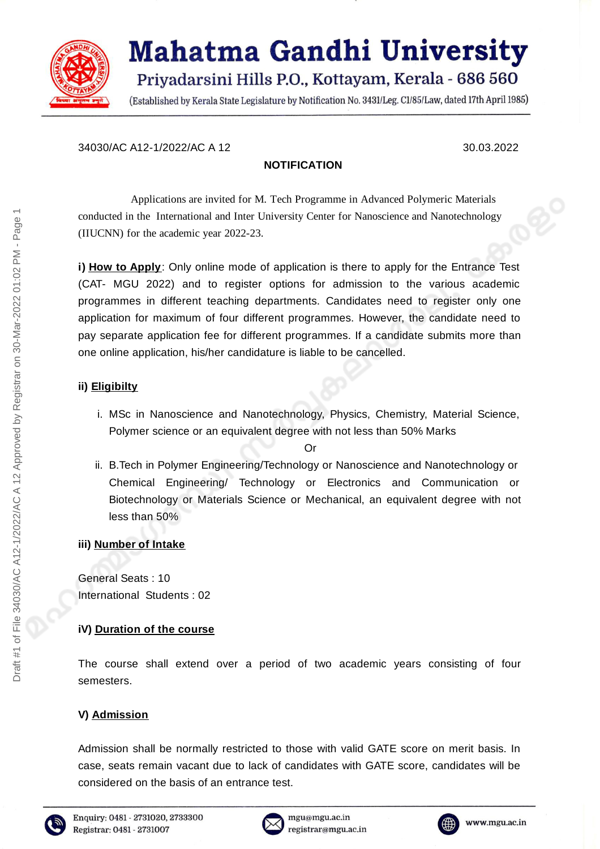

# **Mahatma Gandhi University** Priyadarsini Hills P.O., Kottayam, Kerala - 686 560

(Established by Kerala State Legislature by Notification No. 3431/Leg. C1/85/Law, dated 17th April 1985)

#### 34030/AC A12-1/2022/AC A 12 30.03.2022

#### **NOTIFICATION**

Applications are invited for M. Tech Programme in Advanced Polymeric Materials conducted in the International and Inter University Center for Nanoscience and Nanotechnology (IIUCNN) for the academic year 2022-23.

**i) How to Apply**: Only online mode of application is there to apply for the Entrance Test (CAT- MGU 2022) and to register options for admission to the various academic programmes in different teaching departments. Candidates need to register only one application for maximum of four different programmes. However, the candidate need to pay separate application fee for different programmes. If a candidate submits more than one online application, his/her candidature is liable to be cancelled.

#### **ii) Eligibilty**

i. MSc in Nanoscience and Nanotechnology, Physics, Chemistry, Material Science, Polymer science or an equivalent degree with not less than 50% Marks

#### Or

ii. B.Tech in Polymer Engineering/Technology or Nanoscience and Nanotechnology or Chemical Engineering/ Technology or Electronics and Communication or Biotechnology or Materials Science or Mechanical, an equivalent degree with not less than 50%

# **iii) Number of Intake**

General Seats : 10 International Students : 02

# **iV) Duration of the course**

The course shall extend over a period of two academic years consisting of four semesters.

# **V) Admission**

Admission shall be normally restricted to those with valid GATE score on merit basis. In case, seats remain vacant due to lack of candidates with GATE score, candidates will be considered on the basis of an entrance test.





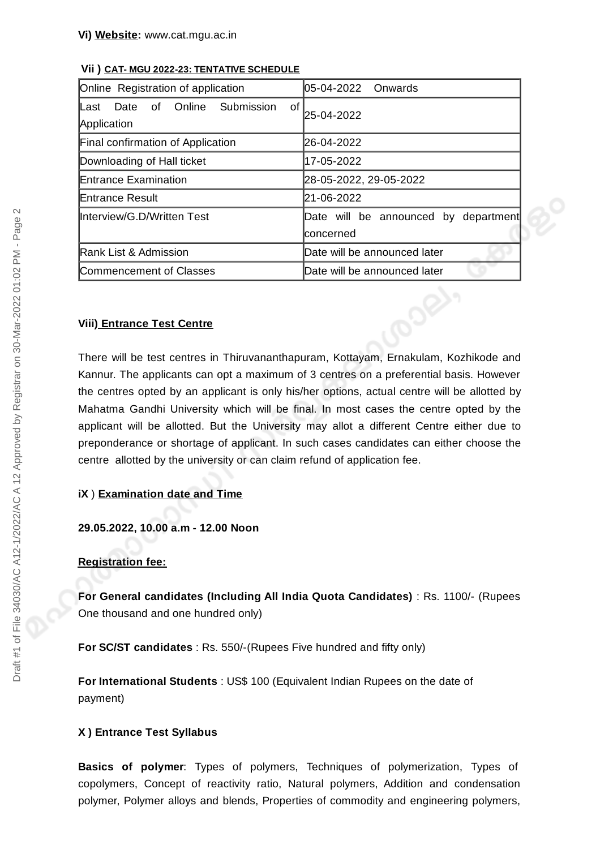| 05-04-2022 Onwards                                 |
|----------------------------------------------------|
| 0f<br>25-04-2022                                   |
| 26-04-2022                                         |
| 17-05-2022                                         |
| 28-05-2022, 29-05-2022                             |
| 21-06-2022                                         |
| Date will be announced by department<br>lconcerned |
| Date will be announced later                       |
| Date will be announced later                       |
|                                                    |

#### **Vii ) CAT- MGU 2022-23: TENTATIVE SCHEDULE**

#### **Viii) Entrance Test Centre**

There will be test centres in Thiruvananthapuram, Kottayam, Ernakulam, Kozhikode and Kannur. The applicants can opt a maximum of 3 centres on a preferential basis. However the centres opted by an applicant is only his/her options, actual centre will be allotted by Mahatma Gandhi University which will be final. In most cases the centre opted by the applicant will be allotted. But the University may allot a different Centre either due to preponderance or shortage of applicant. In such cases candidates can either choose the centre allotted by the university or can claim refund of application fee.

#### **iX** ) **Examination date and Time**

**29.05.2022, 10.00 a.m - 12.00 Noon**

#### **Registration fee:**

**For General candidates (Including All India Quota Candidates)** : Rs. 1100/- (Rupees One thousand and one hundred only)

**For SC/ST candidates** : Rs. 550/-(Rupees Five hundred and fifty only)

**For International Students** : US\$ 100 (Equivalent Indian Rupees on the date of payment)

#### **X ) Entrance Test Syllabus**

**Basics of polymer**: Types of polymers, Techniques of polymerization, Types of copolymers, Concept of reactivity ratio, Natural polymers, Addition and condensation polymer, Polymer alloys and blends, Properties of commodity and engineering polymers,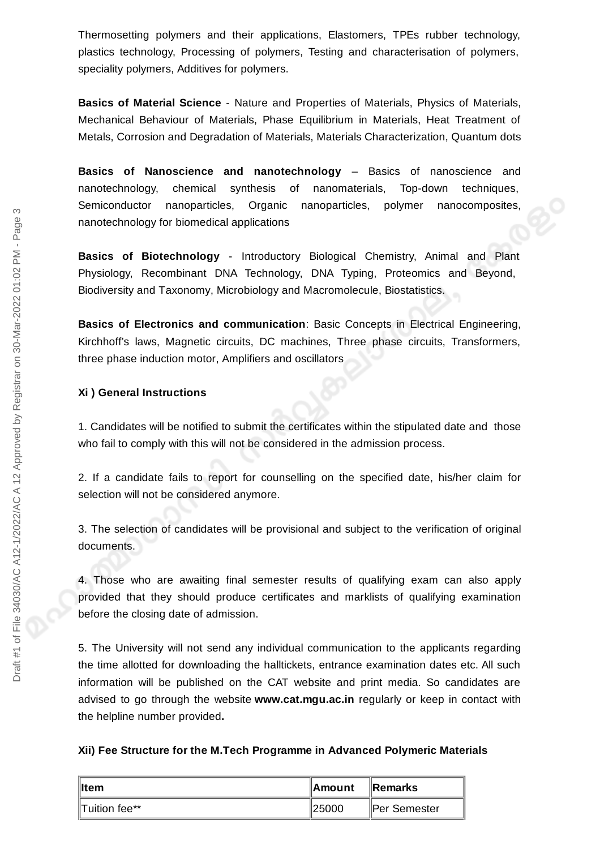Thermosetting polymers and their applications, Elastomers, TPEs rubber technology, plastics technology, Processing of polymers, Testing and characterisation of polymers, speciality polymers, Additives for polymers.

**Basics of Material Science** - Nature and Properties of Materials, Physics of Materials, Mechanical Behaviour of Materials, Phase Equilibrium in Materials, Heat Treatment of Metals, Corrosion and Degradation of Materials, Materials Characterization, Quantum dots

**Basics of Nanoscience and nanotechnology** – Basics of nanoscience and nanotechnology, chemical synthesis of nanomaterials, Top-down techniques, Semiconductor nanoparticles, Organic nanoparticles, polymer nanocomposites, nanotechnology for biomedical applications

**Basics of Biotechnology** - Introductory Biological Chemistry, Animal and Plant Physiology, Recombinant DNA Technology, DNA Typing, Proteomics and Beyond, Biodiversity and Taxonomy, Microbiology and Macromolecule, Biostatistics.

**Basics of Electronics and communication**: Basic Concepts in Electrical Engineering, Kirchhoff's laws, Magnetic circuits, DC machines, Three phase circuits, Transformers, three phase induction motor, Amplifiers and oscillators

#### **Xi ) General Instructions**

1. Candidates will be notified to submit the certificates within the stipulated date and those who fail to comply with this will not be considered in the admission process.

2. If a candidate fails to report for counselling on the specified date, his/her claim for selection will not be considered anymore.

3. The selection of candidates will be provisional and subject to the verification of original documents.

4. Those who are awaiting final semester results of qualifying exam can also apply provided that they should produce certificates and marklists of qualifying examination before the closing date of admission.

5. The University will not send any individual communication to the applicants regarding the time allotted for downloading the halltickets, entrance examination dates etc. All such information will be published on the CAT website and print media. So candidates are advised to go through the website **www.cat.mgu.ac.in** regularly or keep in contact with the helpline number provided**.**

#### **Xii) Fee Structure for the M.Tech Programme in Advanced Polymeric Materials**

| ∥Item         | ∥Amount | <b>IRemarks</b> |
|---------------|---------|-----------------|
| Tuition fee** | ∥25000  | ∥Per Semester   |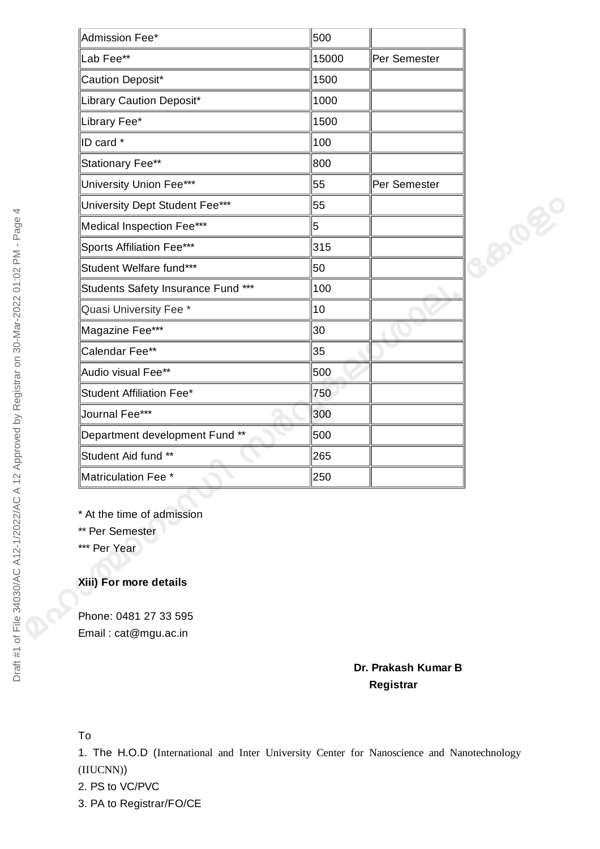| Admission Fee*                     | 500   |              |      |
|------------------------------------|-------|--------------|------|
| Lab Fee**                          | 15000 | Per Semester |      |
| Caution Deposit*                   | 1500  |              |      |
| Library Caution Deposit*           | 1000  |              |      |
| Library Fee*                       | 1500  |              |      |
| ID card *                          | 100   |              |      |
| Stationary Fee**                   | 800   |              |      |
| University Union Fee***            | 55    | Per Semester |      |
| University Dept Student Fee***     | 55    |              |      |
| Medical Inspection Fee***          | 5     |              | 8000 |
| Sports Affiliation Fee***          | 315   |              |      |
| Student Welfare fund***            | 50    |              |      |
| Students Safety Insurance Fund *** | 100   |              |      |
| Quasi University Fee *             | 10    |              |      |
| Magazine Fee***                    | 30    |              |      |
| Calendar Fee**                     | 35    |              |      |
| Audio visual Fee**                 | 500   |              |      |
| Student Affiliation Fee*           | 750   |              |      |
| Journal Fee***                     | 300   |              |      |
| Department development Fund **     | 500   |              |      |
| Student Aid fund **                | 265   |              |      |
| Matriculation Fee *                | 250   |              |      |

\* At the time of admission

\*\* Per Semester

\*\*\* Per Year

# **Xiii) For more details**

Phone: 0481 27 33 595 Email : cat@mgu.ac.in

### **Dr. Prakash Kumar B Registrar**

# To

1. The H.O.D (International and Inter University Center for Nanoscience and Nanotechnology (IIUCNN))

2. PS to VC/PVC

3. PA to Registrar/FO/CE